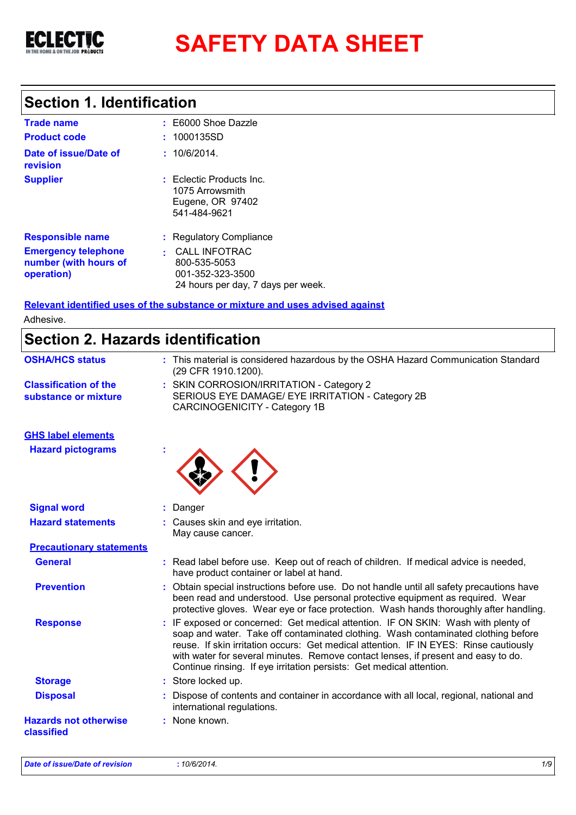

# **SAFETY DATA SHEET**

## **Section 1. Identification**

| <b>Trade name</b>                                                 | $\pm $ E6000 Shoe Dazzle                                                                  |
|-------------------------------------------------------------------|-------------------------------------------------------------------------------------------|
| <b>Product code</b>                                               | : 1000135SD                                                                               |
| Date of issue/Date of<br>revision                                 | : 10/6/2014.                                                                              |
| <b>Supplier</b>                                                   | : Eclectic Products Inc.<br>1075 Arrowsmith<br>Eugene, OR 97402<br>541-484-9621           |
| <b>Responsible name</b>                                           | : Regulatory Compliance                                                                   |
| <b>Emergency telephone</b><br>number (with hours of<br>operation) | : CALL INFOTRAC<br>800-535-5053<br>001-352-323-3500<br>24 hours per day, 7 days per week. |

**Relevant identified uses of the substance or mixture and uses advised against** Adhesive.

## **Section 2. Hazards identification**

| <b>OSHA/HCS status</b>                               | : This material is considered hazardous by the OSHA Hazard Communication Standard<br>(29 CFR 1910.1200).                                                                                                                                                                                                                                                                                                                     |  |
|------------------------------------------------------|------------------------------------------------------------------------------------------------------------------------------------------------------------------------------------------------------------------------------------------------------------------------------------------------------------------------------------------------------------------------------------------------------------------------------|--|
| <b>Classification of the</b><br>substance or mixture | : SKIN CORROSION/IRRITATION - Category 2<br>SERIOUS EYE DAMAGE/ EYE IRRITATION - Category 2B<br><b>CARCINOGENICITY - Category 1B</b>                                                                                                                                                                                                                                                                                         |  |
| <b>GHS label elements</b>                            |                                                                                                                                                                                                                                                                                                                                                                                                                              |  |
| <b>Hazard pictograms</b>                             |                                                                                                                                                                                                                                                                                                                                                                                                                              |  |
| <b>Signal word</b>                                   | : Danger                                                                                                                                                                                                                                                                                                                                                                                                                     |  |
| <b>Hazard statements</b>                             | : Causes skin and eye irritation.<br>May cause cancer.                                                                                                                                                                                                                                                                                                                                                                       |  |
| <b>Precautionary statements</b>                      |                                                                                                                                                                                                                                                                                                                                                                                                                              |  |
| <b>General</b>                                       | : Read label before use. Keep out of reach of children. If medical advice is needed,<br>have product container or label at hand.                                                                                                                                                                                                                                                                                             |  |
| <b>Prevention</b>                                    | Obtain special instructions before use. Do not handle until all safety precautions have<br>been read and understood. Use personal protective equipment as required. Wear<br>protective gloves. Wear eye or face protection. Wash hands thoroughly after handling.                                                                                                                                                            |  |
| <b>Response</b>                                      | : IF exposed or concerned: Get medical attention. IF ON SKIN: Wash with plenty of<br>soap and water. Take off contaminated clothing. Wash contaminated clothing before<br>reuse. If skin irritation occurs: Get medical attention. IF IN EYES: Rinse cautiously<br>with water for several minutes. Remove contact lenses, if present and easy to do.<br>Continue rinsing. If eye irritation persists: Get medical attention. |  |
| <b>Storage</b>                                       | : Store locked up.                                                                                                                                                                                                                                                                                                                                                                                                           |  |
| <b>Disposal</b>                                      | : Dispose of contents and container in accordance with all local, regional, national and<br>international regulations.                                                                                                                                                                                                                                                                                                       |  |
| <b>Hazards not otherwise</b><br>classified           | : None known.                                                                                                                                                                                                                                                                                                                                                                                                                |  |
|                                                      |                                                                                                                                                                                                                                                                                                                                                                                                                              |  |

*Date of issue/Date of revision* **:** *10/6/2014. 1/9*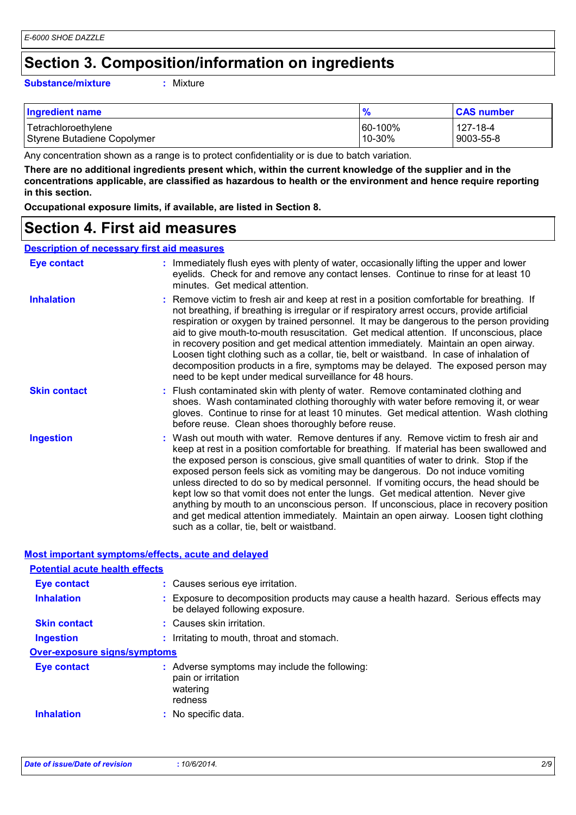## **Section 3. Composition/information on ingredients**

### **Substance/mixture :**

: Mixture

| <b>Ingredient name</b>      | $\frac{9}{6}$ | <b>CAS number</b> |
|-----------------------------|---------------|-------------------|
| Tetrachloroethylene         | 60-100%       | 127-18-4          |
| Styrene Butadiene Copolymer | $10-30%$      | 9003-55-8         |

Any concentration shown as a range is to protect confidentiality or is due to batch variation.

**There are no additional ingredients present which, within the current knowledge of the supplier and in the concentrations applicable, are classified as hazardous to health or the environment and hence require reporting in this section.**

**Occupational exposure limits, if available, are listed in Section 8.**

## **Section 4. First aid measures**

### **Description of necessary first aid measures**

| <b>Eye contact</b>  | : Immediately flush eyes with plenty of water, occasionally lifting the upper and lower<br>eyelids. Check for and remove any contact lenses. Continue to rinse for at least 10<br>minutes. Get medical attention.                                                                                                                                                                                                                                                                                                                                                                                                                                                                                                                                                         |
|---------------------|---------------------------------------------------------------------------------------------------------------------------------------------------------------------------------------------------------------------------------------------------------------------------------------------------------------------------------------------------------------------------------------------------------------------------------------------------------------------------------------------------------------------------------------------------------------------------------------------------------------------------------------------------------------------------------------------------------------------------------------------------------------------------|
| <b>Inhalation</b>   | : Remove victim to fresh air and keep at rest in a position comfortable for breathing. If<br>not breathing, if breathing is irregular or if respiratory arrest occurs, provide artificial<br>respiration or oxygen by trained personnel. It may be dangerous to the person providing<br>aid to give mouth-to-mouth resuscitation. Get medical attention. If unconscious, place<br>in recovery position and get medical attention immediately. Maintain an open airway.<br>Loosen tight clothing such as a collar, tie, belt or waistband. In case of inhalation of<br>decomposition products in a fire, symptoms may be delayed. The exposed person may<br>need to be kept under medical surveillance for 48 hours.                                                       |
| <b>Skin contact</b> | : Flush contaminated skin with plenty of water. Remove contaminated clothing and<br>shoes. Wash contaminated clothing thoroughly with water before removing it, or wear<br>gloves. Continue to rinse for at least 10 minutes. Get medical attention. Wash clothing<br>before reuse. Clean shoes thoroughly before reuse.                                                                                                                                                                                                                                                                                                                                                                                                                                                  |
| <b>Ingestion</b>    | : Wash out mouth with water. Remove dentures if any. Remove victim to fresh air and<br>keep at rest in a position comfortable for breathing. If material has been swallowed and<br>the exposed person is conscious, give small quantities of water to drink. Stop if the<br>exposed person feels sick as vomiting may be dangerous. Do not induce vomiting<br>unless directed to do so by medical personnel. If vomiting occurs, the head should be<br>kept low so that vomit does not enter the lungs. Get medical attention. Never give<br>anything by mouth to an unconscious person. If unconscious, place in recovery position<br>and get medical attention immediately. Maintain an open airway. Loosen tight clothing<br>such as a collar, tie, belt or waistband. |

### **Most important symptoms/effects, acute and delayed**

| <b>Potential acute health effects</b> |                                                                                                                       |
|---------------------------------------|-----------------------------------------------------------------------------------------------------------------------|
| Eye contact                           | : Causes serious eye irritation.                                                                                      |
| <b>Inhalation</b>                     | : Exposure to decomposition products may cause a health hazard. Serious effects may<br>be delayed following exposure. |
| <b>Skin contact</b>                   | : Causes skin irritation.                                                                                             |
| <b>Ingestion</b>                      | : Irritating to mouth, throat and stomach.                                                                            |
| <b>Over-exposure signs/symptoms</b>   |                                                                                                                       |
| Eye contact                           | : Adverse symptoms may include the following:<br>pain or irritation<br>watering<br>redness                            |
| <b>Inhalation</b>                     | : No specific data.                                                                                                   |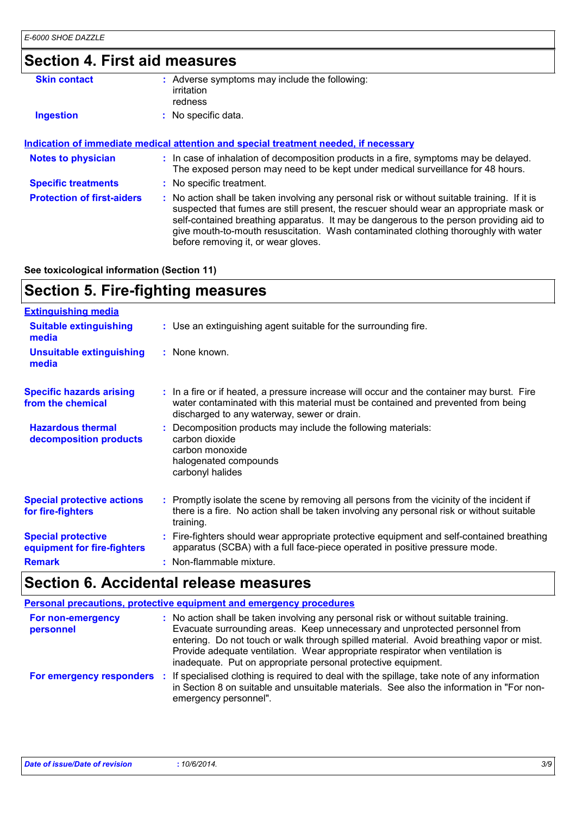## **Section 4. First aid measures**

| <b>Skin contact</b>               | : Adverse symptoms may include the following:<br>irritation<br>redness                                                                                                                                                                                                                                                                                                                                          |
|-----------------------------------|-----------------------------------------------------------------------------------------------------------------------------------------------------------------------------------------------------------------------------------------------------------------------------------------------------------------------------------------------------------------------------------------------------------------|
| <b>Ingestion</b>                  | : No specific data.                                                                                                                                                                                                                                                                                                                                                                                             |
|                                   | Indication of immediate medical attention and special treatment needed, if necessary                                                                                                                                                                                                                                                                                                                            |
| <b>Notes to physician</b>         | : In case of inhalation of decomposition products in a fire, symptoms may be delayed.<br>The exposed person may need to be kept under medical surveillance for 48 hours.                                                                                                                                                                                                                                        |
| <b>Specific treatments</b>        | : No specific treatment.                                                                                                                                                                                                                                                                                                                                                                                        |
| <b>Protection of first-aiders</b> | : No action shall be taken involving any personal risk or without suitable training. If it is<br>suspected that fumes are still present, the rescuer should wear an appropriate mask or<br>self-contained breathing apparatus. It may be dangerous to the person providing aid to<br>give mouth-to-mouth resuscitation. Wash contaminated clothing thoroughly with water<br>before removing it, or wear gloves. |

**See toxicological information (Section 11)**

## **Section 5. Fire-fighting measures**

| <b>Extinguishing media</b>                               |                                                                                                                                                                                                                               |
|----------------------------------------------------------|-------------------------------------------------------------------------------------------------------------------------------------------------------------------------------------------------------------------------------|
| <b>Suitable extinguishing</b><br>media                   | : Use an extinguishing agent suitable for the surrounding fire.                                                                                                                                                               |
| Unsuitable extinguishing<br>media                        | : None known.                                                                                                                                                                                                                 |
| <b>Specific hazards arising</b><br>from the chemical     | : In a fire or if heated, a pressure increase will occur and the container may burst. Fire<br>water contaminated with this material must be contained and prevented from being<br>discharged to any waterway, sewer or drain. |
| <b>Hazardous thermal</b><br>decomposition products       | Decomposition products may include the following materials:<br>carbon dioxide<br>carbon monoxide<br>halogenated compounds<br>carbonyl halides                                                                                 |
| <b>Special protective actions</b><br>for fire-fighters   | : Promptly isolate the scene by removing all persons from the vicinity of the incident if<br>there is a fire. No action shall be taken involving any personal risk or without suitable<br>training.                           |
| <b>Special protective</b><br>equipment for fire-fighters | : Fire-fighters should wear appropriate protective equipment and self-contained breathing<br>apparatus (SCBA) with a full face-piece operated in positive pressure mode.                                                      |
| <b>Remark</b>                                            | : Non-flammable mixture.                                                                                                                                                                                                      |

## **Section 6. Accidental release measures**

| Personal precautions, protective equipment and emergency procedures |                                                                                                                                                                                                                                                                                                                                                                                                                  |  |  |
|---------------------------------------------------------------------|------------------------------------------------------------------------------------------------------------------------------------------------------------------------------------------------------------------------------------------------------------------------------------------------------------------------------------------------------------------------------------------------------------------|--|--|
| For non-emergency<br>personnel                                      | : No action shall be taken involving any personal risk or without suitable training.<br>Evacuate surrounding areas. Keep unnecessary and unprotected personnel from<br>entering. Do not touch or walk through spilled material. Avoid breathing vapor or mist.<br>Provide adequate ventilation. Wear appropriate respirator when ventilation is<br>inadequate. Put on appropriate personal protective equipment. |  |  |
| For emergency responders                                            | If specialised clothing is required to deal with the spillage, take note of any information<br>-11<br>in Section 8 on suitable and unsuitable materials. See also the information in "For non-<br>emergency personnel".                                                                                                                                                                                          |  |  |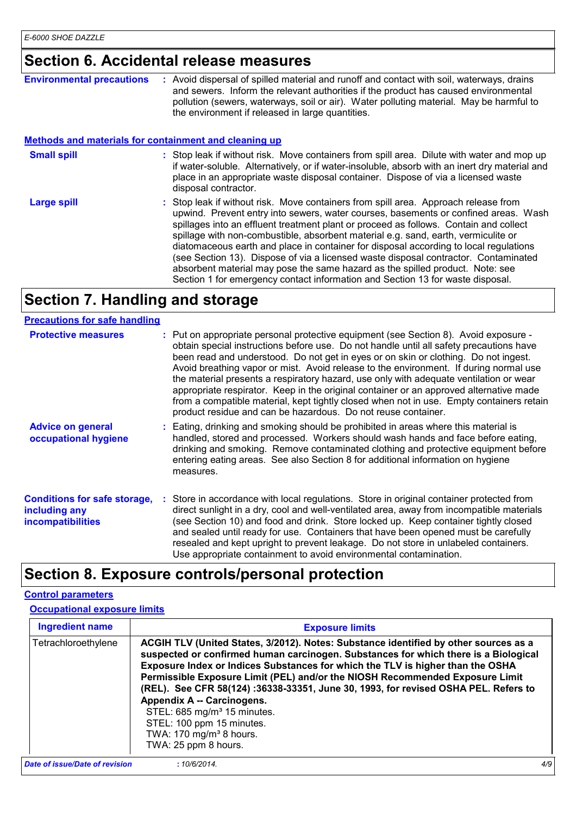## **Section 6. Accidental release measures**

| <b>Environmental precautions</b>                             | : Avoid dispersal of spilled material and runoff and contact with soil, waterways, drains<br>and sewers. Inform the relevant authorities if the product has caused environmental<br>pollution (sewers, waterways, soil or air). Water polluting material. May be harmful to<br>the environment if released in large quantities.                                                                                                                                                                                                                                                                                                                                                                              |  |  |
|--------------------------------------------------------------|--------------------------------------------------------------------------------------------------------------------------------------------------------------------------------------------------------------------------------------------------------------------------------------------------------------------------------------------------------------------------------------------------------------------------------------------------------------------------------------------------------------------------------------------------------------------------------------------------------------------------------------------------------------------------------------------------------------|--|--|
| <b>Methods and materials for containment and cleaning up</b> |                                                                                                                                                                                                                                                                                                                                                                                                                                                                                                                                                                                                                                                                                                              |  |  |
| <b>Small spill</b>                                           | : Stop leak if without risk. Move containers from spill area. Dilute with water and mop up<br>if water-soluble. Alternatively, or if water-insoluble, absorb with an inert dry material and<br>place in an appropriate waste disposal container. Dispose of via a licensed waste<br>disposal contractor.                                                                                                                                                                                                                                                                                                                                                                                                     |  |  |
| <b>Large spill</b>                                           | : Stop leak if without risk. Move containers from spill area. Approach release from<br>upwind. Prevent entry into sewers, water courses, basements or confined areas. Wash<br>spillages into an effluent treatment plant or proceed as follows. Contain and collect<br>spillage with non-combustible, absorbent material e.g. sand, earth, vermiculite or<br>diatomaceous earth and place in container for disposal according to local regulations<br>(see Section 13). Dispose of via a licensed waste disposal contractor. Contaminated<br>absorbent material may pose the same hazard as the spilled product. Note: see<br>Section 1 for emergency contact information and Section 13 for waste disposal. |  |  |

## **Section 7. Handling and storage**

| <b>Precautions for safe handling</b>                                             |                                                                                                                                                                                                                                                                                                                                                                                                                                                                                                                                                                                                                                                                                                                  |
|----------------------------------------------------------------------------------|------------------------------------------------------------------------------------------------------------------------------------------------------------------------------------------------------------------------------------------------------------------------------------------------------------------------------------------------------------------------------------------------------------------------------------------------------------------------------------------------------------------------------------------------------------------------------------------------------------------------------------------------------------------------------------------------------------------|
| <b>Protective measures</b>                                                       | : Put on appropriate personal protective equipment (see Section 8). Avoid exposure -<br>obtain special instructions before use. Do not handle until all safety precautions have<br>been read and understood. Do not get in eyes or on skin or clothing. Do not ingest.<br>Avoid breathing vapor or mist. Avoid release to the environment. If during normal use<br>the material presents a respiratory hazard, use only with adequate ventilation or wear<br>appropriate respirator. Keep in the original container or an approved alternative made<br>from a compatible material, kept tightly closed when not in use. Empty containers retain<br>product residue and can be hazardous. Do not reuse container. |
| <b>Advice on general</b><br>occupational hygiene                                 | : Eating, drinking and smoking should be prohibited in areas where this material is<br>handled, stored and processed. Workers should wash hands and face before eating,<br>drinking and smoking. Remove contaminated clothing and protective equipment before<br>entering eating areas. See also Section 8 for additional information on hygiene<br>measures.                                                                                                                                                                                                                                                                                                                                                    |
| <b>Conditions for safe storage,</b><br>including any<br><i>incompatibilities</i> | : Store in accordance with local regulations. Store in original container protected from<br>direct sunlight in a dry, cool and well-ventilated area, away from incompatible materials<br>(see Section 10) and food and drink. Store locked up. Keep container tightly closed<br>and sealed until ready for use. Containers that have been opened must be carefully<br>resealed and kept upright to prevent leakage. Do not store in unlabeled containers.<br>Use appropriate containment to avoid environmental contamination.                                                                                                                                                                                   |

## **Section 8. Exposure controls/personal protection**

### **Control parameters**

### **Occupational exposure limits**

| <b>Ingredient name</b>         | <b>Exposure limits</b>                                                                                                                                                                                                                                                                                                                                                                                                                                                                                                                                                                                    |     |
|--------------------------------|-----------------------------------------------------------------------------------------------------------------------------------------------------------------------------------------------------------------------------------------------------------------------------------------------------------------------------------------------------------------------------------------------------------------------------------------------------------------------------------------------------------------------------------------------------------------------------------------------------------|-----|
| Tetrachloroethylene            | ACGIH TLV (United States, 3/2012). Notes: Substance identified by other sources as a<br>suspected or confirmed human carcinogen. Substances for which there is a Biological<br>Exposure Index or Indices Substances for which the TLV is higher than the OSHA<br>Permissible Exposure Limit (PEL) and/or the NIOSH Recommended Exposure Limit<br>(REL). See CFR 58(124): 36338-33351, June 30, 1993, for revised OSHA PEL. Refers to<br>Appendix A -- Carcinogens.<br>STEL: 685 mg/m <sup>3</sup> 15 minutes.<br>STEL: 100 ppm 15 minutes.<br>TWA: 170 mg/m <sup>3</sup> 8 hours.<br>TWA: 25 ppm 8 hours. |     |
| Date of issue/Date of revision | :10/6/2014.                                                                                                                                                                                                                                                                                                                                                                                                                                                                                                                                                                                               | 4/9 |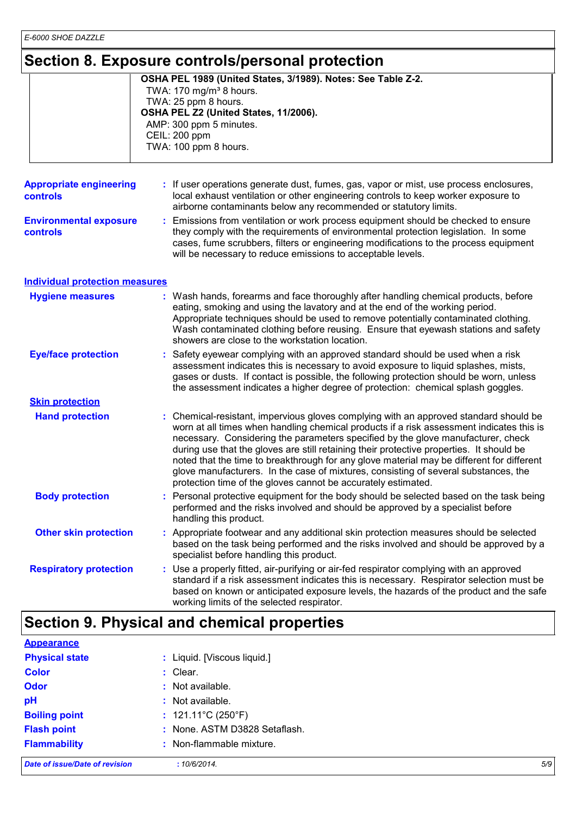## **Section 8. Exposure controls/personal protection**

|                                            | <u>UECHUITU. LAPUSUIE CUIILIUIS/PEISUITAI PIULECHUIT</u>                                                                                                                                                                                                                                                                                                                                                                                                                                                                                                                                                               |
|--------------------------------------------|------------------------------------------------------------------------------------------------------------------------------------------------------------------------------------------------------------------------------------------------------------------------------------------------------------------------------------------------------------------------------------------------------------------------------------------------------------------------------------------------------------------------------------------------------------------------------------------------------------------------|
|                                            | OSHA PEL 1989 (United States, 3/1989). Notes: See Table Z-2.<br>TWA: 170 mg/m <sup>3</sup> 8 hours.<br>TWA: 25 ppm 8 hours.<br>OSHA PEL Z2 (United States, 11/2006).<br>AMP: 300 ppm 5 minutes.<br>CEIL: 200 ppm<br>TWA: 100 ppm 8 hours.                                                                                                                                                                                                                                                                                                                                                                              |
| <b>Appropriate engineering</b><br>controls | : If user operations generate dust, fumes, gas, vapor or mist, use process enclosures,<br>local exhaust ventilation or other engineering controls to keep worker exposure to<br>airborne contaminants below any recommended or statutory limits.                                                                                                                                                                                                                                                                                                                                                                       |
| <b>Environmental exposure</b><br>controls  | Emissions from ventilation or work process equipment should be checked to ensure<br>they comply with the requirements of environmental protection legislation. In some<br>cases, fume scrubbers, filters or engineering modifications to the process equipment<br>will be necessary to reduce emissions to acceptable levels.                                                                                                                                                                                                                                                                                          |
| <b>Individual protection measures</b>      |                                                                                                                                                                                                                                                                                                                                                                                                                                                                                                                                                                                                                        |
| <b>Hygiene measures</b>                    | : Wash hands, forearms and face thoroughly after handling chemical products, before<br>eating, smoking and using the lavatory and at the end of the working period.<br>Appropriate techniques should be used to remove potentially contaminated clothing.<br>Wash contaminated clothing before reusing. Ensure that eyewash stations and safety<br>showers are close to the workstation location.                                                                                                                                                                                                                      |
| <b>Eye/face protection</b>                 | : Safety eyewear complying with an approved standard should be used when a risk<br>assessment indicates this is necessary to avoid exposure to liquid splashes, mists,<br>gases or dusts. If contact is possible, the following protection should be worn, unless<br>the assessment indicates a higher degree of protection: chemical splash goggles.                                                                                                                                                                                                                                                                  |
| <b>Skin protection</b>                     |                                                                                                                                                                                                                                                                                                                                                                                                                                                                                                                                                                                                                        |
| <b>Hand protection</b>                     | : Chemical-resistant, impervious gloves complying with an approved standard should be<br>worn at all times when handling chemical products if a risk assessment indicates this is<br>necessary. Considering the parameters specified by the glove manufacturer, check<br>during use that the gloves are still retaining their protective properties. It should be<br>noted that the time to breakthrough for any glove material may be different for different<br>glove manufacturers. In the case of mixtures, consisting of several substances, the<br>protection time of the gloves cannot be accurately estimated. |
| <b>Body protection</b>                     | : Personal protective equipment for the body should be selected based on the task being<br>performed and the risks involved and should be approved by a specialist before<br>handling this product.                                                                                                                                                                                                                                                                                                                                                                                                                    |
| <b>Other skin protection</b>               | : Appropriate footwear and any additional skin protection measures should be selected<br>based on the task being performed and the risks involved and should be approved by a<br>specialist before handling this product.                                                                                                                                                                                                                                                                                                                                                                                              |
| <b>Respiratory protection</b>              | : Use a properly fitted, air-purifying or air-fed respirator complying with an approved<br>standard if a risk assessment indicates this is necessary. Respirator selection must be<br>based on known or anticipated exposure levels, the hazards of the product and the safe<br>working limits of the selected respirator.                                                                                                                                                                                                                                                                                             |

## **Section 9. Physical and chemical properties**

| <b>Flammability</b>   | : Non-flammable mixture.          |  |
|-----------------------|-----------------------------------|--|
| <b>Flash point</b>    | : None. ASTM D3828 Setaflash.     |  |
| <b>Boiling point</b>  | : $121.11^{\circ}C(250^{\circ}F)$ |  |
| pH                    | : Not available.                  |  |
| <b>Odor</b>           | : Not available.                  |  |
| <b>Color</b>          | $:$ Clear.                        |  |
| <b>Physical state</b> | : Liquid. [Viscous liquid.]       |  |
| <b>Appearance</b>     |                                   |  |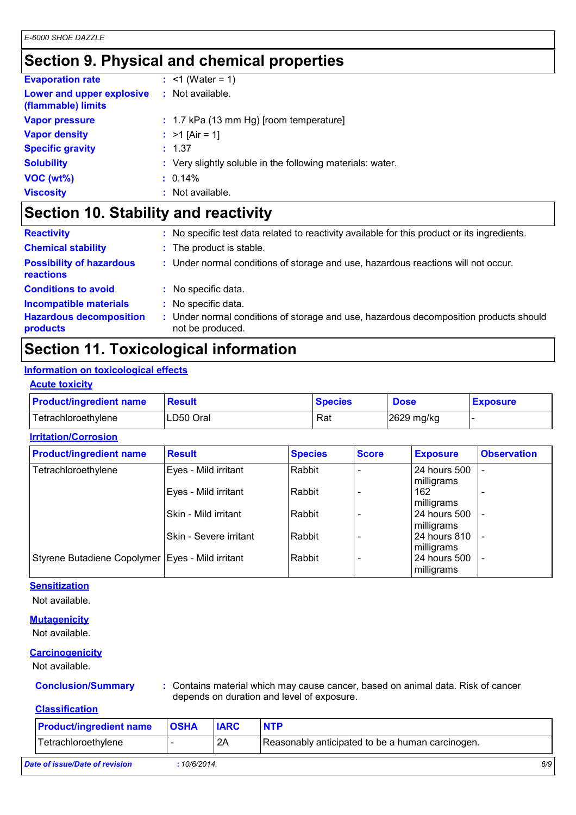## **Section 9. Physical and chemical properties**

| <b>Evaporation rate</b>                         | : $<$ 1 (Water = 1)                                        |
|-------------------------------------------------|------------------------------------------------------------|
| Lower and upper explosive<br>(flammable) limits | $:$ Not available.                                         |
| <b>Vapor pressure</b>                           | $: 1.7$ kPa (13 mm Hg) [room temperature]                  |
| <b>Vapor density</b>                            | : $>1$ [Air = 1]                                           |
| <b>Specific gravity</b>                         | : 1.37                                                     |
| <b>Solubility</b>                               | : Very slightly soluble in the following materials: water. |
| $VOC (wt\%)$                                    | $: 0.14\%$                                                 |
| <b>Viscosity</b>                                | : Not available.                                           |

## **Section 10. Stability and reactivity**

| <b>Reactivity</b>                            | : No specific test data related to reactivity available for this product or its ingredients.            |
|----------------------------------------------|---------------------------------------------------------------------------------------------------------|
| <b>Chemical stability</b>                    | : The product is stable.                                                                                |
| <b>Possibility of hazardous</b><br>reactions | : Under normal conditions of storage and use, hazardous reactions will not occur.                       |
| <b>Conditions to avoid</b>                   | : No specific data.                                                                                     |
| <b>Incompatible materials</b>                | No specific data.                                                                                       |
| <b>Hazardous decomposition</b><br>products   | Under normal conditions of storage and use, hazardous decomposition products should<br>not be produced. |

## **Section 11. Toxicological information**

### **Information on toxicological effects**

### **Acute toxicity**

| <b>Product/ingredient name</b> | Result    | <b>Species</b> | <b>Dose</b> | <b>Exposure</b> |
|--------------------------------|-----------|----------------|-------------|-----------------|
| Tetrachloroethylene            | LD50 Oral | Rat            | 2629 mg/kg  |                 |

### **Irritation/Corrosion**

| <b>Product/ingredient name</b>                     | <b>Result</b>          | <b>Species</b> | <b>Score</b> | <b>Exposure</b>              | <b>Observation</b> |
|----------------------------------------------------|------------------------|----------------|--------------|------------------------------|--------------------|
| Tetrachloroethylene                                | Eyes - Mild irritant   | Rabbit         |              | 24 hours 500<br>milligrams   |                    |
|                                                    | Eyes - Mild irritant   | Rabbit         |              | 162<br>milligrams            |                    |
|                                                    | Skin - Mild irritant   | Rabbit         |              | 24 hours 500<br>milligrams   |                    |
|                                                    | Skin - Severe irritant | Rabbit         |              | 24 hours 810<br>milligrams   |                    |
| Styrene Butadiene Copolymer   Eyes - Mild irritant |                        | Rabbit         |              | l 24 hours 500<br>milligrams |                    |

### **Sensitization**

Not available.

### **Mutagenicity**

Not available.

### **Carcinogenicity**

Not available.

**Conclusion/Summary :** Contains material which may cause cancer, based on animal data. Risk of cancer depends on duration and level of exposure.

### **Classification**

| <b>Product/ingredient name</b> | <b>OSHA</b> | <b>IARC</b> | <b>NTP</b>                                       |     |
|--------------------------------|-------------|-------------|--------------------------------------------------|-----|
| Tetrachloroethylene            |             | 2A          | Reasonably anticipated to be a human carcinogen. |     |
| Date of issue/Date of revision | :10/6/2014. |             |                                                  | 6/9 |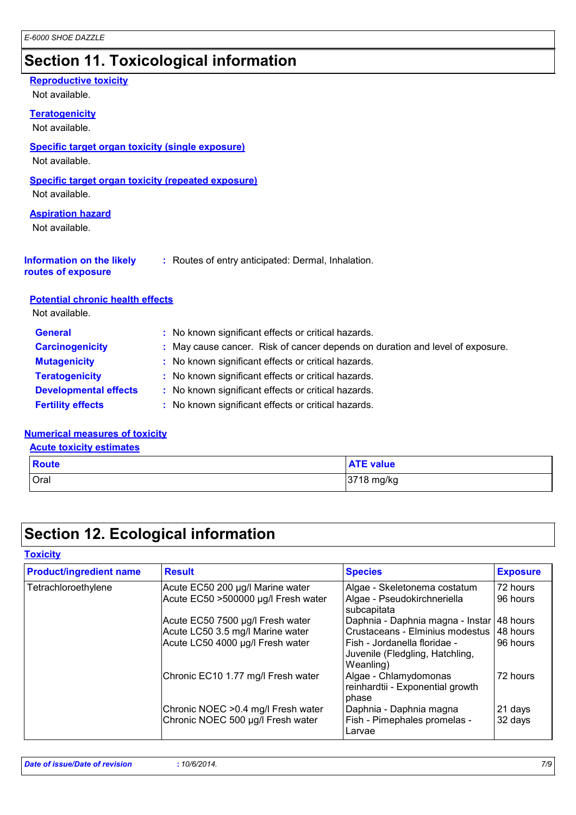## **Section 11. Toxicological information**

### **Reproductive toxicity**

Not available.

### **Teratogenicity**

Not available.

### **Specific target organ toxicity (single exposure)**

Not available.

### **Specific target organ toxicity (repeated exposure)**

Not available.

### **Aspiration hazard**

Not available.

| <b>Information on the likely</b> | : Routes of entry anticipated: Dermal, Inhalation. |
|----------------------------------|----------------------------------------------------|
|----------------------------------|----------------------------------------------------|

## **routes of exposure**

### **Potential chronic health effects**

Not available.

| : No known significant effects or critical hazards.<br><b>General</b>                                   |  |
|---------------------------------------------------------------------------------------------------------|--|
| : May cause cancer. Risk of cancer depends on duration and level of exposure.<br><b>Carcinogenicity</b> |  |
| : No known significant effects or critical hazards.<br><b>Mutagenicity</b>                              |  |
| <b>Teratogenicity</b><br>: No known significant effects or critical hazards.                            |  |
| <b>Developmental effects</b><br>: No known significant effects or critical hazards.                     |  |
| : No known significant effects or critical hazards.<br><b>Fertility effects</b>                         |  |

### **Numerical measures of toxicity**

**Acute toxicity estimates**

| <b>Route</b> | <b>ATE value</b> |
|--------------|------------------|
| Oral         | 3718 mg/kg       |

## **Section 12. Ecological information**

### **Toxicity**

| <b>Product/ingredient name</b> | <b>Result</b>                                                            | <b>Species</b>                                                               | <b>Exposure</b>    |
|--------------------------------|--------------------------------------------------------------------------|------------------------------------------------------------------------------|--------------------|
| Tetrachloroethylene            | Acute EC50 200 µg/l Marine water                                         | Algae - Skeletonema costatum                                                 | 72 hours           |
|                                | Acute EC50 >500000 µg/l Fresh water                                      | Algae - Pseudokirchneriella<br>subcapitata                                   | 96 hours           |
|                                | Acute EC50 7500 µg/l Fresh water                                         | Daphnia - Daphnia magna - Instar 48 hours                                    |                    |
|                                | Acute LC50 3.5 mg/l Marine water                                         | Crustaceans - Elminius modestus                                              | 48 hours           |
|                                | Acute LC50 4000 µg/l Fresh water                                         | Fish - Jordanella floridae -<br>Juvenile (Fledgling, Hatchling,<br>Weanling) | 96 hours           |
|                                | Chronic EC10 1.77 mg/l Fresh water                                       | Algae - Chlamydomonas<br>reinhardtii - Exponential growth<br>phase           | 72 hours           |
|                                | Chronic NOEC > 0.4 mg/l Fresh water<br>Chronic NOEC 500 µg/l Fresh water | Daphnia - Daphnia magna<br>Fish - Pimephales promelas -<br>Larvae            | 21 days<br>32 days |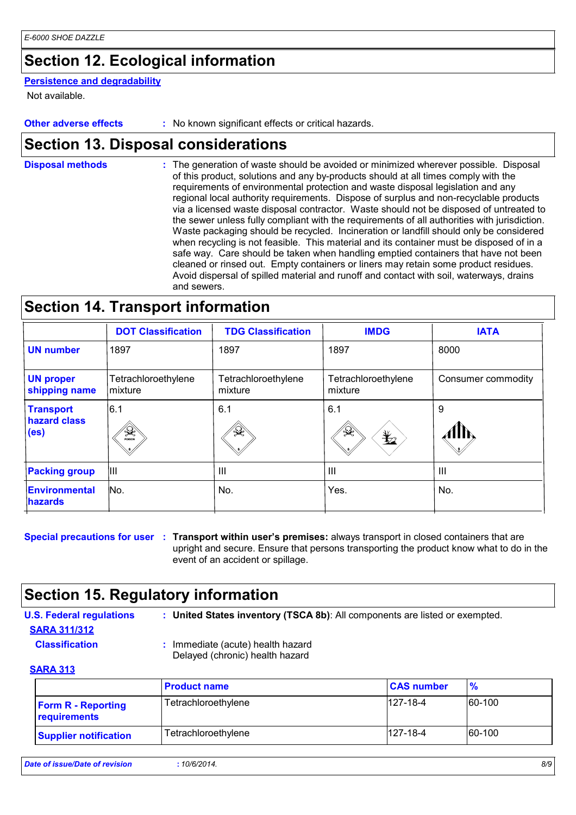## **Section 12. Ecological information**

### **Persistence and degradability**

Not available.

**Other adverse effects** : No known significant effects or critical hazards.

## **Section 13. Disposal considerations**

The generation of waste should be avoided or minimized wherever possible. Disposal of this product, solutions and any by-products should at all times comply with the requirements of environmental protection and waste disposal legislation and any regional local authority requirements. Dispose of surplus and non-recyclable products via a licensed waste disposal contractor. Waste should not be disposed of untreated to the sewer unless fully compliant with the requirements of all authorities with jurisdiction. Waste packaging should be recycled. Incineration or landfill should only be considered when recycling is not feasible. This material and its container must be disposed of in a safe way. Care should be taken when handling emptied containers that have not been cleaned or rinsed out. Empty containers or liners may retain some product residues. Avoid dispersal of spilled material and runoff and contact with soil, waterways, drains and sewers. **Disposal methods :**

## **Section 14. Transport information**

|                                                       | <b>DOT Classification</b>      | <b>TDG Classification</b>      | <b>IMDG</b>                        | <b>IATA</b>        |
|-------------------------------------------------------|--------------------------------|--------------------------------|------------------------------------|--------------------|
| <b>UN number</b>                                      | 1897                           | 1897                           | 1897                               | 8000               |
| <b>UN proper</b><br>shipping name                     | Tetrachloroethylene<br>mixture | Tetrachloroethylene<br>mixture | Tetrachloroethylene<br>mixture     | Consumer commodity |
| <b>Transport</b><br>hazard class<br>(e <sub>s</sub> ) | 6.1<br>$\mathcal{R}$           | 6.1<br>$\rightarrow$           | 6.1<br>$\frac{1}{2}$<br>$\bigstar$ | 9                  |
| <b>Packing group</b>                                  | Ш                              | $\mathbf{III}$                 | III                                | $\mathbf{III}$     |
| <b>Environmental</b><br><b>hazards</b>                | No.                            | No.                            | Yes.                               | No.                |
|                                                       |                                |                                |                                    |                    |

**Special precautions for user** : Transport within user's premises: always transport in closed containers that are upright and secure. Ensure that persons transporting the product know what to do in the event of an accident or spillage.

## **Section 15. Regulatory information**

- **U.S. Federal regulations : SARA 311/312**
	-

**United States inventory (TSCA 8b)**: All components are listed or exempted.

- **Classification :** Immediate (acute) health hazard
	- Delayed (chronic) health hazard

### **SARA 313**

|                                           | <b>Product name</b> | <b>CAS number</b> | $\frac{9}{6}$ |
|-------------------------------------------|---------------------|-------------------|---------------|
| <b>Form R - Reporting</b><br>requirements | Tetrachloroethylene | $127 - 18 - 4$    | 60-100        |
| <b>Supplier notification</b>              | Tetrachloroethylene | $127 - 18 - 4$    | 60-100        |